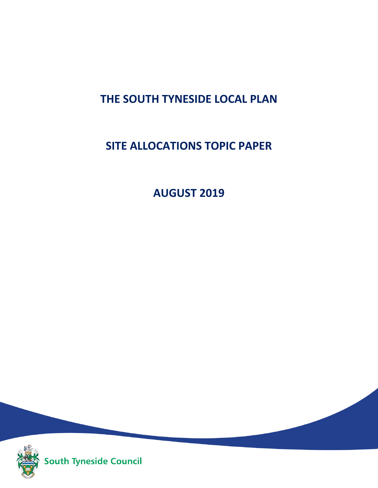# **THE SOUTH TYNESIDE LOCAL PLAN**

# **SITE ALLOCATIONS TOPIC PAPER**

**AUGUST 2019**



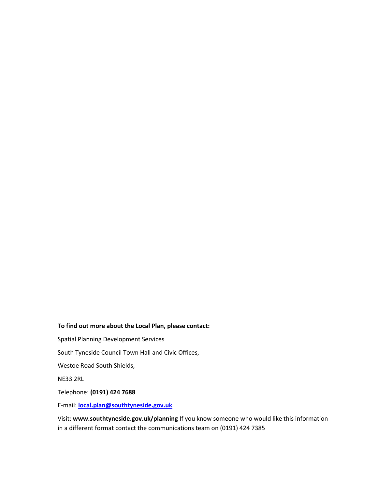## **To find out more about the Local Plan, please contact:**

Spatial Planning Development Services

South Tyneside Council Town Hall and Civic Offices,

Westoe Road South Shields,

NE33 2RL

Telephone: **(0191) 424 7688** 

E-mail: **[local.plan@southtyneside.gov.uk](mailto:local.plan@southtyneside.gov.uk)**

Visit: **www.southtyneside.gov.uk/planning** If you know someone who would like this information in a different format contact the communications team on (0191) 424 7385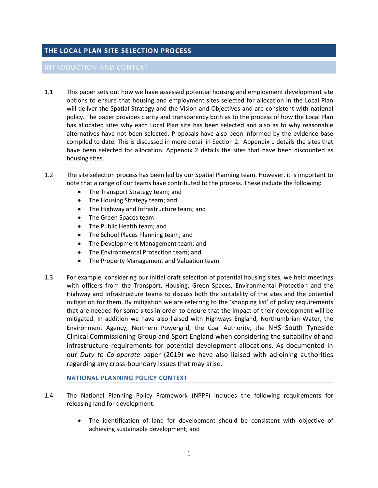# **THE LOCAL PLAN SITE SELECTION PROCESS**

- 1.1 This paper sets out how we have assessed potential housing and employment development site options to ensure that housing and employment sites selected for allocation in the Local Plan will deliver the Spatial Strategy and the Vision and Objectives and are consistent with national policy. The paper provides clarity and transparency both as to the process of how the Local Plan has allocated sites why each Local Plan site has been selected and also as to why reasonable alternatives have not been selected. Proposals have also been informed by the evidence base compiled to date. This is discussed in more detail in Section 2. Appendix 1 details the sites that have been selected for allocation. Appendix 2 details the sites that have been discounted as housing sites.
- 1.2 The site selection process has been led by our Spatial Planning team. However, it is important to note that a range of our teams have contributed to the process. These include the following:
	- The Transport Strategy team; and
	- The Housing Strategy team; and
	- The Highway and Infrastructure team; and
	- The Green Spaces team
	- The Public Health team; and
	- The School Places Planning team; and
	- The Development Management team; and
	- The Environmental Protection team; and
	- The Property Management and Valuation team
- 1.3 For example, considering our initial draft selection of potential housing sites, we held meetings with officers from the Transport, Housing, Green Spaces, Environmental Protection and the Highway and Infrastructure teams to discuss both the suitability of the sites and the potential mitigation for them. By mitigation we are referring to the 'shopping list' of policy requirements that are needed for some sites in order to ensure that the impact of their development will be mitigated. In addition we have also liaised with Highways England, Northumbrian Water, the Environment Agency, Northern Powergrid, the Coal Authority, the NHS South Tyneside Clinical Commissioning Group and Sport England when considering the suitability of and infrastructure requirements for potential development allocations. As documented in our *Duty to Co-operate* paper (2019) we have also liaised with adjoining authorities regarding any cross-boundary issues that may arise.

**NATIONAL PLANNING POLICY CONTEXT**

- 1.4 The National Planning Policy Framework (NPPF) includes the following requirements for releasing land for development:
	- The identification of land for development should be consistent with objective of achieving sustainable development; and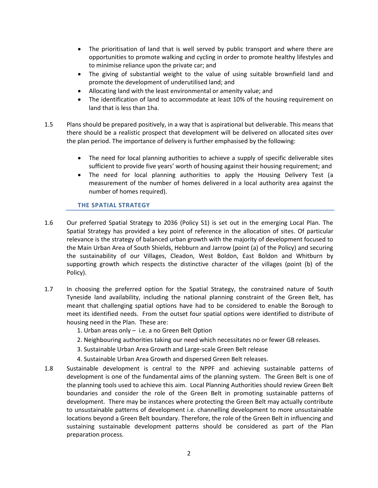- The prioritisation of land that is well served by public transport and where there are opportunities to promote walking and cycling in order to promote healthy lifestyles and to minimise reliance upon the private car; and
- The giving of substantial weight to the value of using suitable brownfield land and promote the development of underutilised land; and
- Allocating land with the least environmental or amenity value; and
- The identification of land to accommodate at least 10% of the housing requirement on land that is less than 1ha.
- 1.5 Plans should be prepared positively, in a way that is aspirational but deliverable. This means that there should be a realistic prospect that development will be delivered on allocated sites over the plan period. The importance of delivery is further emphasised by the following:
	- The need for local planning authorities to achieve a supply of specific deliverable sites sufficient to provide five years' worth of housing against their housing requirement; and
	- The need for local planning authorities to apply the Housing Delivery Test (a measurement of the number of homes delivered in a local authority area against the number of homes required).

# **THE SPATIAL STRATEGY**

- 1.6 Our preferred Spatial Strategy to 2036 (Policy S1) is set out in the emerging Local Plan. The Spatial Strategy has provided a key point of reference in the allocation of sites. Of particular relevance is the strategy of balanced urban growth with the majority of development focused to the Main Urban Area of South Shields, Hebburn and Jarrow (point (a) of the Policy) and securing the sustainability of our Villages, Cleadon, West Boldon, East Boldon and Whitburn by supporting growth which respects the distinctive character of the villages (point (b) of the Policy).
- 1.7 In choosing the preferred option for the Spatial Strategy, the constrained nature of South Tyneside land availability, including the national planning constraint of the Green Belt, has meant that challenging spatial options have had to be considered to enable the Borough to meet its identified needs. From the outset four spatial options were identified to distribute of housing need in the Plan. These are:
	- 1. Urban areas only i.e. a no Green Belt Option
	- 2. Neighbouring authorities taking our need which necessitates no or fewer GB releases.
	- 3. Sustainable Urban Area Growth and Large-scale Green Belt release
	- 4. Sustainable Urban Area Growth and dispersed Green Belt releases.
- 1.8 Sustainable development is central to the NPPF and achieving sustainable patterns of development is one of the fundamental aims of the planning system. The Green Belt is one of the planning tools used to achieve this aim. Local Planning Authorities should review Green Belt boundaries and consider the role of the Green Belt in promoting sustainable patterns of development. There may be instances where protecting the Green Belt may actually contribute to unsustainable patterns of development i.e. channelling development to more unsustainable locations beyond a Green Belt boundary. Therefore, the role of the Green Belt in influencing and sustaining sustainable development patterns should be considered as part of the Plan preparation process.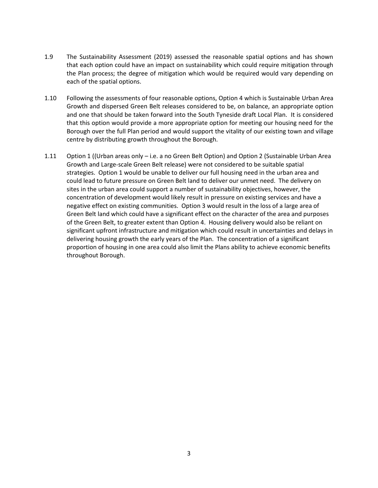- 1.9 The Sustainability Assessment (2019) assessed the reasonable spatial options and has shown that each option could have an impact on sustainability which could require mitigation through the Plan process; the degree of mitigation which would be required would vary depending on each of the spatial options.
- 1.10 Following the assessments of four reasonable options, Option 4 which is Sustainable Urban Area Growth and dispersed Green Belt releases considered to be, on balance, an appropriate option and one that should be taken forward into the South Tyneside draft Local Plan. It is considered that this option would provide a more appropriate option for meeting our housing need for the Borough over the full Plan period and would support the vitality of our existing town and village centre by distributing growth throughout the Borough.
- 1.11 Option 1 ((Urban areas only i.e. a no Green Belt Option) and Option 2 (Sustainable Urban Area Growth and Large-scale Green Belt release) were not considered to be suitable spatial strategies. Option 1 would be unable to deliver our full housing need in the urban area and could lead to future pressure on Green Belt land to deliver our unmet need. The delivery on sites in the urban area could support a number of sustainability objectives, however, the concentration of development would likely result in pressure on existing services and have a negative effect on existing communities. Option 3 would result in the loss of a large area of Green Belt land which could have a significant effect on the character of the area and purposes of the Green Belt, to greater extent than Option 4. Housing delivery would also be reliant on significant upfront infrastructure and mitigation which could result in uncertainties and delays in delivering housing growth the early years of the Plan. The concentration of a significant proportion of housing in one area could also limit the Plans ability to achieve economic benefits throughout Borough.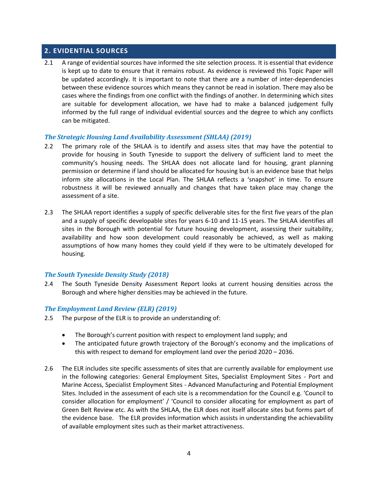# **2. EVIDENTIAL SOURCES**

2.1 A range of evidential sources have informed the site selection process. It is essential that evidence is kept up to date to ensure that it remains robust. As evidence is reviewed this Topic Paper will be updated accordingly. It is important to note that there are a number of inter-dependencies between these evidence sources which means they cannot be read in isolation. There may also be cases where the findings from one conflict with the findings of another. In determining which sites are suitable for development allocation, we have had to make a balanced judgement fully informed by the full range of individual evidential sources and the degree to which any conflicts can be mitigated.

#### *The Strategic Housing Land Availability Assessment (SHLAA) (2019)*

- 2.2 The primary role of the SHLAA is to identify and assess sites that may have the potential to provide for housing in South Tyneside to support the delivery of sufficient land to meet the community's housing needs. The SHLAA does not allocate land for housing, grant planning permission or determine if land should be allocated for housing but is an evidence base that helps inform site allocations in the Local Plan. The SHLAA reflects a 'snapshot' in time. To ensure robustness it will be reviewed annually and changes that have taken place may change the assessment of a site.
- 2.3 The SHLAA report identifies a supply of specific deliverable sites for the first five years of the plan and a supply of specific developable sites for years 6-10 and 11-15 years. The SHLAA identifies all sites in the Borough with potential for future housing development, assessing their suitability, availability and how soon development could reasonably be achieved, as well as making assumptions of how many homes they could yield if they were to be ultimately developed for housing.

#### *The South Tyneside Density Study (2018)*

2.4 The South Tyneside Density Assessment Report looks at current housing densities across the Borough and where higher densities may be achieved in the future.

#### *The Employment Land Review (ELR) (2019)*

- 2.5 The purpose of the ELR is to provide an understanding of:
	- The Borough's current position with respect to employment land supply; and
	- The anticipated future growth trajectory of the Borough's economy and the implications of this with respect to demand for employment land over the period 2020 – 2036.
- 2.6 The ELR includes site specific assessments of sites that are currently available for employment use in the following categories: General Employment Sites, Specialist Employment Sites - Port and Marine Access, Specialist Employment Sites - Advanced Manufacturing and Potential Employment Sites. Included in the assessment of each site is a recommendation for the Council e.g. 'Council to consider allocation for employment' / 'Council to consider allocating for employment as part of Green Belt Review etc. As with the SHLAA, the ELR does not itself allocate sites but forms part of the evidence base. The ELR provides information which assists in understanding the achievability of available employment sites such as their market attractiveness.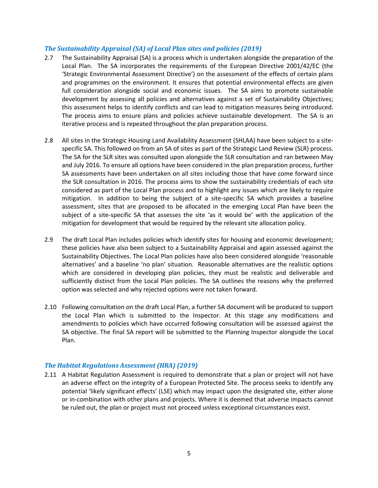## *The Sustainability Appraisal (SA) of Local Plan sites and policies (2019)*

- 2.7 The Sustainability Appraisal (SA) is a process which is undertaken alongside the preparation of the Local Plan. The SA incorporates the requirements of the European Directive 2001/42/EC (the 'Strategic Environmental Assessment Directive') on the assessment of the effects of certain plans and programmes on the environment. It ensures that potential environmental effects are given full consideration alongside social and economic issues. The SA aims to promote sustainable development by assessing all policies and alternatives against a set of Sustainability Objectives; this assessment helps to identify conflicts and can lead to mitigation measures being introduced. The process aims to ensure plans and policies achieve sustainable development. The SA is an iterative process and is repeated throughout the plan preparation process.
- 2.8 All sites in the Strategic Housing Land Availability Assessment (SHLAA) have been subject to a sitespecific SA. This followed on from an SA of sites as part of the Strategic Land Review (SLR) process. The SA for the SLR sites was consulted upon alongside the SLR consultation and ran between May and July 2016. To ensure all options have been considered in the plan preparation process, further SA assessments have been undertaken on all sites including those that have come forward since the SLR consultation in 2016. The process aims to show the sustainability credentials of each site considered as part of the Local Plan process and to highlight any issues which are likely to require mitigation. In addition to being the subject of a site-specific SA which provides a baseline assessment, sites that are proposed to be allocated in the emerging Local Plan have been the subject of a site-specific SA that assesses the site 'as it would be' with the application of the mitigation for development that would be required by the relevant site allocation policy.
- 2.9 The draft Local Plan includes policies which identify sites for housing and economic development; these policies have also been subject to a Sustainability Appraisal and again assessed against the Sustainability Objectives. The Local Plan policies have also been considered alongside 'reasonable alternatives' and a baseline 'no plan' situation. Reasonable alternatives are the realistic options which are considered in developing plan policies, they must be realistic and deliverable and sufficiently distinct from the Local Plan policies. The SA outlines the reasons why the preferred option was selected and why rejected options were not taken forward.
- 2.10 Following consultation on the draft Local Plan, a further SA document will be produced to support the Local Plan which is submitted to the Inspector. At this stage any modifications and amendments to policies which have occurred following consultation will be assessed against the SA objective. The final SA report will be submitted to the Planning Inspector alongside the Local Plan.

#### *The Habitat Regulations Assessment (HRA) (2019)*

2.11 A Habitat Regulation Assessment is required to demonstrate that a plan or project will not have an adverse effect on the integrity of a European Protected Site. The process seeks to identify any potential 'likely significant effects' (LSE) which may impact upon the designated site, either alone or in-combination with other plans and projects. Where it is deemed that adverse impacts cannot be ruled out, the plan or project must not proceed unless exceptional circumstances exist.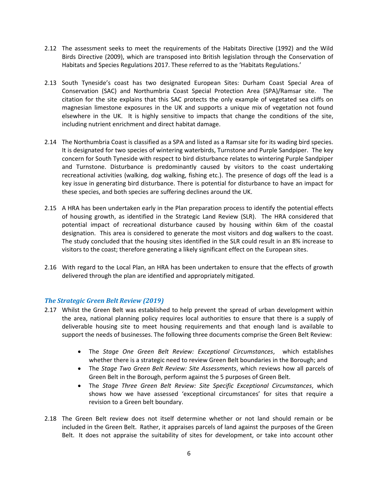- 2.12 The assessment seeks to meet the requirements of the Habitats Directive (1992) and the Wild Birds Directive (2009), which are transposed into British legislation through the Conservation of Habitats and Species Regulations 2017. These referred to as the 'Habitats Regulations.'
- 2.13 South Tyneside's coast has two designated European Sites: Durham Coast Special Area of Conservation (SAC) and Northumbria Coast Special Protection Area (SPA)/Ramsar site. The citation for the site explains that this SAC protects the only example of vegetated sea cliffs on magnesian limestone exposures in the UK and supports a unique mix of vegetation not found elsewhere in the UK. It is highly sensitive to impacts that change the conditions of the site, including nutrient enrichment and direct habitat damage.
- 2.14 The Northumbria Coast is classified as a SPA and listed as a Ramsar site for its wading bird species. It is designated for two species of wintering waterbirds, Turnstone and Purple Sandpiper. The key concern for South Tyneside with respect to bird disturbance relates to wintering Purple Sandpiper and Turnstone. Disturbance is predominantly caused by visitors to the coast undertaking recreational activities (walking, dog walking, fishing etc.). The presence of dogs off the lead is a key issue in generating bird disturbance. There is potential for disturbance to have an impact for these species, and both species are suffering declines around the UK.
- 2.15 A HRA has been undertaken early in the Plan preparation process to identify the potential effects of housing growth, as identified in the Strategic Land Review (SLR). The HRA considered that potential impact of recreational disturbance caused by housing within 6km of the coastal designation. This area is considered to generate the most visitors and dog walkers to the coast. The study concluded that the housing sites identified in the SLR could result in an 8% increase to visitors to the coast; therefore generating a likely significant effect on the European sites.
- 2.16 With regard to the Local Plan, an HRA has been undertaken to ensure that the effects of growth delivered through the plan are identified and appropriately mitigated.

# *The Strategic Green Belt Review (2019)*

- 2.17 Whilst the Green Belt was established to help prevent the spread of urban development within the area, national planning policy requires local authorities to ensure that there is a supply of deliverable housing site to meet housing requirements and that enough land is available to support the needs of businesses. The following three documents comprise the Green Belt Review:
	- The *Stage One Green Belt Review: Exceptional Circumstances*, which establishes whether there is a strategic need to review Green Belt boundaries in the Borough; and
	- The *Stage Two Green Belt Review: Site Assessments*, which reviews how all parcels of Green Belt in the Borough, perform against the 5 purposes of Green Belt.
	- The *Stage Three Green Belt Review: Site Specific Exceptional Circumstances*, which shows how we have assessed 'exceptional circumstances' for sites that require a revision to a Green belt boundary.
- 2.18 The Green Belt review does not itself determine whether or not land should remain or be included in the Green Belt. Rather, it appraises parcels of land against the purposes of the Green Belt. It does not appraise the suitability of sites for development, or take into account other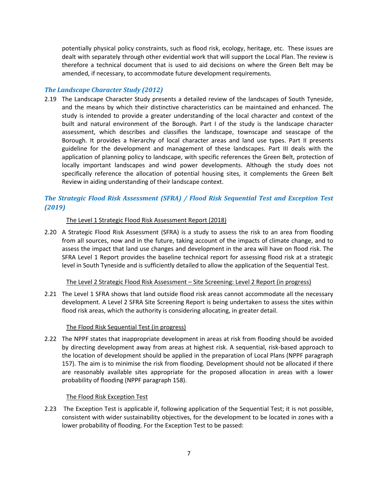potentially physical policy constraints, such as flood risk, ecology, heritage, etc. These issues are dealt with separately through other evidential work that will support the Local Plan. The review is therefore a technical document that is used to aid decisions on where the Green Belt may be amended, if necessary, to accommodate future development requirements.

# *The Landscape Character Study (2012)*

2.19 The Landscape Character Study presents a detailed review of the landscapes of South Tyneside, and the means by which their distinctive characteristics can be maintained and enhanced. The study is intended to provide a greater understanding of the local character and context of the built and natural environment of the Borough. Part I of the study is the landscape character assessment, which describes and classifies the landscape, townscape and seascape of the Borough. It provides a hierarchy of local character areas and land use types. Part II presents guideline for the development and management of these landscapes. Part III deals with the application of planning policy to landscape, with specific references the Green Belt, protection of locally important landscapes and wind power developments. Although the study does not specifically reference the allocation of potential housing sites, it complements the Green Belt Review in aiding understanding of their landscape context.

# *The Strategic Flood Risk Assessment (SFRA) / Flood Risk Sequential Test and Exception Test (2019)*

#### The Level 1 Strategic Flood Risk Assessment Report (2018)

2.20 A Strategic Flood Risk Assessment (SFRA) is a study to assess the risk to an area from flooding from all sources, now and in the future, taking account of the impacts of [climate change,](https://www.gov.uk/guidance/flood-risk-assessments-climate-change-allowances) and to assess the impact that land use changes and development in the area will have on flood risk. The SFRA Level 1 Report provides the baseline technical report for assessing flood risk at a strategic level in South Tyneside and is sufficiently detailed to allow the application of the Sequential Test.

#### The Level 2 Strategic Flood Risk Assessment – Site Screening: Level 2 Report (in progress)

2.21 The Level 1 SFRA shows that land outside flood risk areas cannot accommodate all the necessary development. A Level 2 SFRA Site Screening Report is being undertaken to assess the sites within flood risk areas, which the authority is considering allocating, in greater detail.

#### The Flood Risk Sequential Test (in progress)

2.22 The NPPF states that inappropriate development in areas at risk from flooding should be avoided by directing development away from areas at highest risk. A sequential, risk-based approach to the location of development should be applied in the preparation of Local Plans (NPPF paragraph 157). The aim is to minimise the risk from flooding. Development should not be allocated if there are reasonably available sites appropriate for the proposed allocation in areas with a lower probability of flooding (NPPF paragraph 158).

#### The Flood Risk Exception Test

2.23 The Exception Test is applicable if, following application of the Sequential Test; it is not possible, consistent with wider sustainability objectives, for the development to be located in zones with a lower probability of flooding. For the Exception Test to be passed: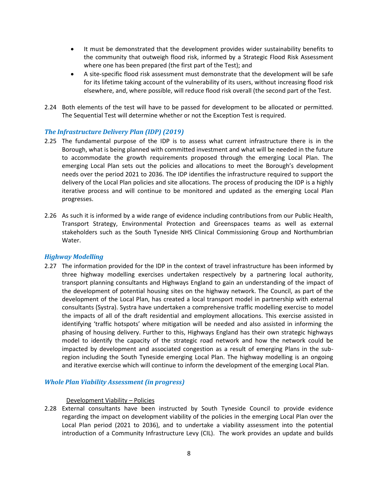- It must be demonstrated that the development provides wider sustainability benefits to the community that outweigh flood risk, informed by a Strategic Flood Risk Assessment where one has been prepared (the first part of the Test); and
- A site-specific flood risk assessment must demonstrate that the development will be safe for its lifetime taking account of the vulnerability of its users, without increasing flood risk elsewhere, and, where possible, will reduce flood risk overall (the second part of the Test.
- 2.24 Both elements of the test will have to be passed for development to be allocated or permitted. The Sequential Test will determine whether or not the Exception Test is required.

## *The Infrastructure Delivery Plan (IDP) (2019)*

- 2.25 The fundamental purpose of the IDP is to assess what current infrastructure there is in the Borough, what is being planned with committed investment and what will be needed in the future to accommodate the growth requirements proposed through the emerging Local Plan. The emerging Local Plan sets out the policies and allocations to meet the Borough's development needs over the period 2021 to 2036. The IDP identifies the infrastructure required to support the delivery of the Local Plan policies and site allocations. The process of producing the IDP is a highly iterative process and will continue to be monitored and updated as the emerging Local Plan progresses.
- 2.26 As such it is informed by a wide range of evidence including contributions from our Public Health, Transport Strategy, Environmental Protection and Greenspaces teams as well as external stakeholders such as the South Tyneside NHS Clinical Commissioning Group and Northumbrian Water.

#### *Highway Modelling*

2.27 The information provided for the IDP in the context of travel infrastructure has been informed by three highway modelling exercises undertaken respectively by a partnering local authority, transport planning consultants and Highways England to gain an understanding of the impact of the development of potential housing sites on the highway network. The Council, as part of the development of the Local Plan, has created a local transport model in partnership with external consultants (Systra). Systra have undertaken a comprehensive traffic modelling exercise to model the impacts of all of the draft residential and employment allocations. This exercise assisted in identifying 'traffic hotspots' where mitigation will be needed and also assisted in informing the phasing of housing delivery. Further to this, Highways England has their own strategic highways model to identify the capacity of the strategic road network and how the network could be impacted by development and associated congestion as a result of emerging Plans in the subregion including the South Tyneside emerging Local Plan. The highway modelling is an ongoing and iterative exercise which will continue to inform the development of the emerging Local Plan.

#### *Whole Plan Viability Assessment (in progress)*

#### Development Viability – Policies

2.28 External consultants have been instructed by South Tyneside Council to provide evidence regarding the impact on development viability of the policies in the emerging Local Plan over the Local Plan period (2021 to 2036), and to undertake a viability assessment into the potential introduction of a Community Infrastructure Levy (CIL). The work provides an update and builds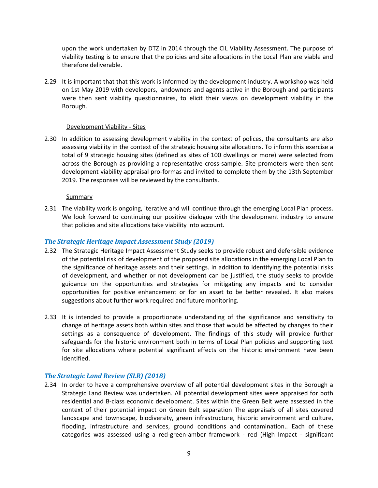upon the work undertaken by DTZ in 2014 through the CIL Viability Assessment. The purpose of viability testing is to ensure that the policies and site allocations in the Local Plan are viable and therefore deliverable.

2.29 It is important that that this work is informed by the development industry. A workshop was held on 1st May 2019 with developers, landowners and agents active in the Borough and participants were then sent viability questionnaires, to elicit their views on development viability in the Borough.

#### Development Viability - Sites

2.30 In addition to assessing development viability in the context of polices, the consultants are also assessing viability in the context of the strategic housing site allocations. To inform this exercise a total of 9 strategic housing sites (defined as sites of 100 dwellings or more) were selected from across the Borough as providing a representative cross-sample. Site promoters were then sent development viability appraisal pro-formas and invited to complete them by the 13th September 2019. The responses will be reviewed by the consultants.

#### **Summary**

2.31 The viability work is ongoing, iterative and will continue through the emerging Local Plan process. We look forward to continuing our positive dialogue with the development industry to ensure that policies and site allocations take viability into account.

#### *The Strategic Heritage Impact Assessment Study (2019)*

- 2.32 The Strategic Heritage Impact Assessment Study seeks to provide robust and defensible evidence of the potential risk of development of the proposed site allocations in the emerging Local Plan to the significance of heritage assets and their settings. In addition to identifying the potential risks of development, and whether or not development can be justified, the study seeks to provide guidance on the opportunities and strategies for mitigating any impacts and to consider opportunities for positive enhancement or for an asset to be better revealed. It also makes suggestions about further work required and future monitoring.
- 2.33 It is intended to provide a proportionate understanding of the significance and sensitivity to change of heritage assets both within sites and those that would be affected by changes to their settings as a consequence of development. The findings of this study will provide further safeguards for the historic environment both in terms of Local Plan policies and supporting text for site allocations where potential significant effects on the historic environment have been identified.

#### *The Strategic Land Review (SLR) (2018)*

2.34 In order to have a comprehensive overview of all potential development sites in the Borough a Strategic Land Review was undertaken. All potential development sites were appraised for both residential and B-class economic development. Sites within the Green Belt were assessed in the context of their potential impact on Green Belt separation The appraisals of all sites covered landscape and townscape, biodiversity, green infrastructure, historic environment and culture, flooding, infrastructure and services, ground conditions and contamination.. Each of these categories was assessed using a red-green-amber framework - red (High Impact - significant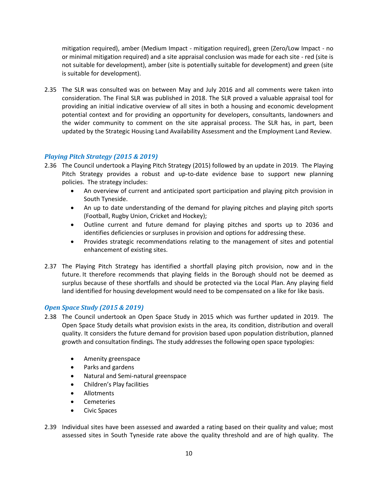mitigation required), amber (Medium Impact - mitigation required), green (Zero/Low Impact - no or minimal mitigation required) and a site appraisal conclusion was made for each site - red (site is not suitable for development), amber (site is potentially suitable for development) and green (site is suitable for development).

2.35 The SLR was consulted was on between May and July 2016 and all comments were taken into consideration. The Final SLR was published in 2018. The SLR proved a valuable appraisal tool for providing an initial indicative overview of all sites in both a housing and economic development potential context and for providing an opportunity for developers, consultants, landowners and the wider community to comment on the site appraisal process. The SLR has, in part, been updated by the Strategic Housing Land Availability Assessment and the Employment Land Review.

# *Playing Pitch Strategy (2015 & 2019)*

- 2.36 The Council undertook a Playing Pitch Strategy (2015) followed by an update in 2019. The Playing Pitch Strategy provides a robust and up-to-date evidence base to support new planning policies. The strategy includes:
	- An overview of current and anticipated sport participation and playing pitch provision in South Tyneside.
	- An up to date understanding of the demand for playing pitches and playing pitch sports (Football, Rugby Union, Cricket and Hockey);
	- Outline current and future demand for playing pitches and sports up to 2036 and identifies deficiencies or surpluses in provision and options for addressing these.
	- Provides strategic recommendations relating to the management of sites and potential enhancement of existing sites.
- 2.37 The Playing Pitch Strategy has identified a shortfall playing pitch provision, now and in the future. It therefore recommends that playing fields in the Borough should not be deemed as surplus because of these shortfalls and should be protected via the Local Plan. Any playing field land identified for housing development would need to be compensated on a like for like basis.

# *Open Space Study (2015 & 2019)*

- 2.38 The Council undertook an Open Space Study in 2015 which was further updated in 2019. The Open Space Study details what provision exists in the area, its condition, distribution and overall quality. It considers the future demand for provision based upon population distribution, planned growth and consultation findings. The study addresses the following open space typologies:
	- Amenity greenspace
	- Parks and gardens
	- Natural and Semi-natural greenspace
	- Children's Play facilities
	- Allotments
	- **Cemeteries**
	- Civic Spaces
- 2.39 Individual sites have been assessed and awarded a rating based on their quality and value; most assessed sites in South Tyneside rate above the quality threshold and are of high quality. The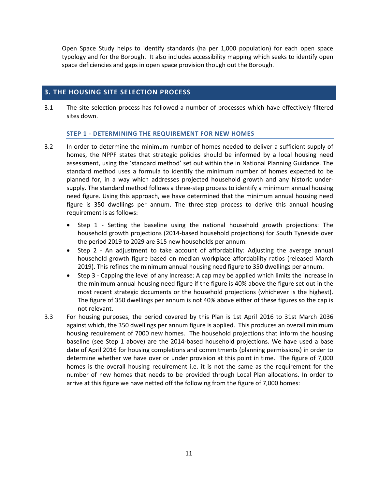Open Space Study helps to identify standards (ha per 1,000 population) for each open space typology and for the Borough. It also includes accessibility mapping which seeks to identify open space deficiencies and gaps in open space provision though out the Borough.

# **3. THE HOUSING SITE SELECTION PROCESS**

3.1 The site selection process has followed a number of processes which have effectively filtered sites down.

## **STEP 1 - DETERMINING THE REQUIREMENT FOR NEW HOMES**

- 3.2 In order to determine the minimum number of homes needed to deliver a sufficient supply of homes, the NPPF states that strategic policies should be informed by a local housing need assessment, using the 'standard method' set out within the in National Planning Guidance. The standard method uses a formula to identify the minimum number of homes expected to be planned for, in a way which addresses projected household growth and any historic undersupply. The standard method follows a three-step process to identify a minimum annual housing need figure. Using this approach, we have determined that the minimum annual housing need figure is 350 dwellings per annum. The three-step process to derive this annual housing requirement is as follows:
	- Step 1 Setting the baseline using the national household growth projections: The household growth projections (2014-based household projections) for South Tyneside over the period 2019 to 2029 are 315 new households per annum.
	- Step 2 An adjustment to take account of affordability: Adjusting the average annual household growth figure based on median workplace affordability ratios (released March 2019). This refines the minimum annual housing need figure to 350 dwellings per annum.
	- Step 3 Capping the level of any increase: A cap may be applied which limits the increase in the minimum annual housing need figure if the figure is 40% above the figure set out in the most recent strategic documents or the household projections (whichever is the highest). The figure of 350 dwellings per annum is not 40% above either of these figures so the cap is not relevant.
- 3.3 For housing purposes, the period covered by this Plan is 1st April 2016 to 31st March 2036 against which, the 350 dwellings per annum figure is applied. This produces an overall minimum housing requirement of 7000 new homes. The household projections that inform the housing baseline (see Step 1 above) are the 2014-based household projections. We have used a base date of April 2016 for housing completions and commitments (planning permissions) in order to determine whether we have over or under provision at this point in time. The figure of 7,000 homes is the overall housing requirement i.e. it is not the same as the requirement for the number of new homes that needs to be provided through Local Plan allocations. In order to arrive at this figure we have netted off the following from the figure of 7,000 homes: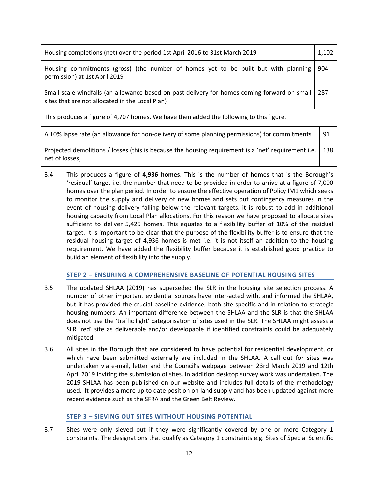| Housing completions (net) over the period 1st April 2016 to 31st March 2019 |  |  | 1,102      |  |  |                                                                                                                                                                                                                                  |  |  |
|-----------------------------------------------------------------------------|--|--|------------|--|--|----------------------------------------------------------------------------------------------------------------------------------------------------------------------------------------------------------------------------------|--|--|
|                                                                             |  |  | $\sqrt{1}$ |  |  | $\mathbf{r}$ , and the set of the set of the set of the set of the set of the set of the set of the set of the set of the set of the set of the set of the set of the set of the set of the set of the set of the set of the set |  |  |

Housing commitments (gross) (the number of homes yet to be built but with planning permission) at 1st April 2019 904

Small scale windfalls (an allowance based on past delivery for homes coming forward on small sites that are not allocated in the Local Plan) 287

This produces a figure of 4,707 homes. We have then added the following to this figure.

| A 10% lapse rate (an allowance for non-delivery of some planning permissions) for commitments                               | l 91 |
|-----------------------------------------------------------------------------------------------------------------------------|------|
| Projected demolitions / losses (this is because the housing requirement is a 'net' requirement i.e.   138<br>net of losses) |      |

3.4 This produces a figure of **4,936 homes**. This is the number of homes that is the Borough's 'residual' target i.e. the number that need to be provided in order to arrive at a figure of 7,000 homes over the plan period. In order to ensure the effective operation of Policy IM1 which seeks to monitor the supply and delivery of new homes and sets out contingency measures in the event of housing delivery falling below the relevant targets, it is robust to add in additional housing capacity from Local Plan allocations. For this reason we have proposed to allocate sites sufficient to deliver 5,425 homes. This equates to a flexibility buffer of 10% of the residual target. It is important to be clear that the purpose of the flexibility buffer is to ensure that the residual housing target of 4,936 homes is met i.e. it is not itself an addition to the housing requirement. We have added the flexibility buffer because it is established good practice to build an element of flexibility into the supply.

#### **STEP 2 – ENSURING A COMPREHENSIVE BASELINE OF POTENTIAL HOUSING SITES**

- 3.5 The updated SHLAA (2019) has superseded the SLR in the housing site selection process. A number of other important evidential sources have inter-acted with, and informed the SHLAA, but it has provided the crucial baseline evidence, both site-specific and in relation to strategic housing numbers. An important difference between the SHLAA and the SLR is that the SHLAA does not use the 'traffic light' categorisation of sites used in the SLR. The SHLAA might assess a SLR 'red' site as deliverable and/or developable if identified constraints could be adequately mitigated.
- 3.6 All sites in the Borough that are considered to have potential for residential development, or which have been submitted externally are included in the SHLAA. A call out for sites was undertaken via e-mail, letter and the Council's webpage between 23rd March 2019 and 12th April 2019 inviting the submission of sites. In addition desktop survey work was undertaken. The 2019 SHLAA has been published on our website and includes full details of the methodology used. It provides a more up to date position on land supply and has been updated against more recent evidence such as the SFRA and the Green Belt Review.

#### **STEP 3 – SIEVING OUT SITES WITHOUT HOUSING POTENTIAL**

3.7 Sites were only sieved out if they were significantly covered by one or more Category 1 constraints. The designations that qualify as Category 1 constraints e.g. Sites of Special Scientific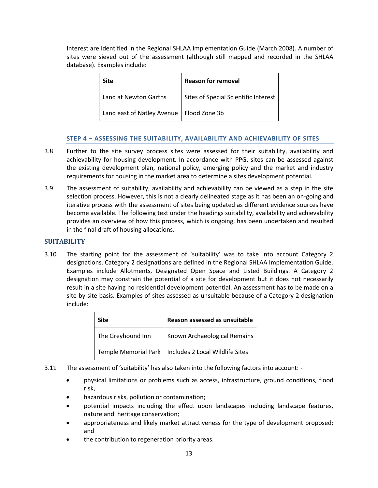Interest are identified in the Regional SHLAA Implementation Guide (March 2008). A number of sites were sieved out of the assessment (although still mapped and recorded in the SHLAA database). Examples include:

| Site                                       | <b>Reason for removal</b>            |
|--------------------------------------------|--------------------------------------|
| Land at Newton Garths                      | Sites of Special Scientific Interest |
| Land east of Natley Avenue   Flood Zone 3b |                                      |

## **STEP 4 – ASSESSING THE SUITABILITY, AVAILABILITY AND ACHIEVABILITY OF SITES**

- 3.8 Further to the site survey process sites were assessed for their suitability, availability and achievability for housing development. In accordance with PPG, sites can be assessed against the existing development plan, national policy, emerging policy and the market and industry requirements for housing in the market area to determine a sites development potential.
- 3.9 The assessment of suitability, availability and achievability can be viewed as a step in the site selection process. However, this is not a clearly delineated stage as it has been an on-going and iterative process with the assessment of sites being updated as different evidence sources have become available. The following text under the headings suitability, availability and achievability provides an overview of how this process, which is ongoing, has been undertaken and resulted in the final draft of housing allocations.

#### **SUITABILITY**

3.10 The starting point for the assessment of 'suitability' was to take into account Category 2 designations. Category 2 designations are defined in the Regional SHLAA Implementation Guide. Examples include Allotments, Designated Open Space and Listed Buildings. A Category 2 designation may constrain the potential of a site for development but it does not necessarily result in a site having no residential development potential. An assessment has to be made on a site-by-site basis. Examples of sites assessed as unsuitable because of a Category 2 designation include:

| <b>Site</b>       | Reason assessed as unsuitable                          |
|-------------------|--------------------------------------------------------|
| The Greyhound Inn | Known Archaeological Remains                           |
|                   | Temple Memorial Park   Includes 2 Local Wildlife Sites |

- 3.11 The assessment of 'suitability' has also taken into the following factors into account:
	- physical limitations or problems such as access, infrastructure, ground conditions, flood risk,
	- hazardous risks, pollution or contamination;
	- potential impacts including the effect upon landscapes including landscape features, nature and heritage conservation;
	- appropriateness and likely market attractiveness for the type of development proposed; and
	- the contribution to regeneration priority areas.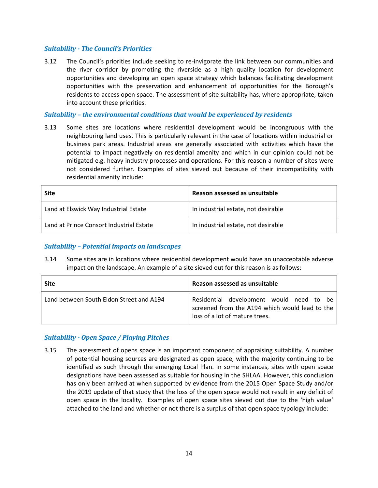## *Suitability - The Council's Priorities*

3.12 The Council's priorities include seeking to re-invigorate the link between our communities and the river corridor by promoting the riverside as a high quality location for development opportunities and developing an open space strategy which balances facilitating development opportunities with the preservation and enhancement of opportunities for the Borough's residents to access open space. The assessment of site suitability has, where appropriate, taken into account these priorities.

#### *Suitability – the environmental conditions that would be experienced by residents*

3.13 Some sites are locations where residential development would be incongruous with the neighbouring land uses. This is particularly relevant in the case of locations within industrial or business park areas. Industrial areas are generally associated with activities which have the potential to impact negatively on residential amenity and which in our opinion could not be mitigated e.g. heavy industry processes and operations. For this reason a number of sites were not considered further. Examples of sites sieved out because of their incompatibility with residential amenity include:

| Site                                     | Reason assessed as unsuitable       |
|------------------------------------------|-------------------------------------|
| Land at Elswick Way Industrial Estate    | In industrial estate, not desirable |
| Land at Prince Consort Industrial Estate | In industrial estate, not desirable |

#### *Suitability – Potential impacts on landscapes*

3.14 Some sites are in locations where residential development would have an unacceptable adverse impact on the landscape. An example of a site sieved out for this reason is as follows:

| <b>Site</b>                              | Reason assessed as unsuitable                                                                                                |
|------------------------------------------|------------------------------------------------------------------------------------------------------------------------------|
| Land between South Eldon Street and A194 | Residential development would need to be<br>screened from the A194 which would lead to the<br>loss of a lot of mature trees. |

# *Suitability - Open Space / Playing Pitches*

3.15 The assessment of opens space is an important component of appraising suitability. A number of potential housing sources are designated as open space, with the majority continuing to be identified as such through the emerging Local Plan. In some instances, sites with open space designations have been assessed as suitable for housing in the SHLAA. However, this conclusion has only been arrived at when supported by evidence from the 2015 Open Space Study and/or the 2019 update of that study that the loss of the open space would not result in any deficit of open space in the locality. Examples of open space sites sieved out due to the 'high value' attached to the land and whether or not there is a surplus of that open space typology include: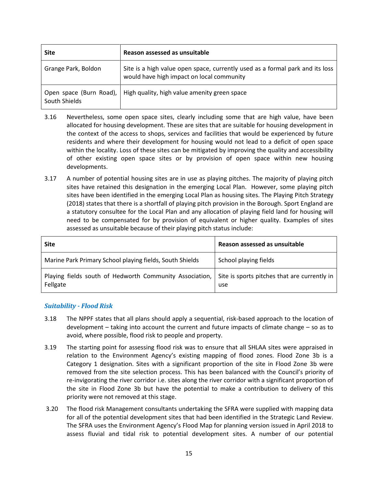| <b>Site</b>                              | Reason assessed as unsuitable                                                                                              |
|------------------------------------------|----------------------------------------------------------------------------------------------------------------------------|
| Grange Park, Boldon                      | Site is a high value open space, currently used as a formal park and its loss<br>would have high impact on local community |
| Open space (Burn Road),<br>South Shields | High quality, high value amenity green space                                                                               |

- 3.16 Nevertheless, some open space sites, clearly including some that are high value, have been allocated for housing development. These are sites that are suitable for housing development in the context of the access to shops, services and facilities that would be experienced by future residents and where their development for housing would not lead to a deficit of open space within the locality. Loss of these sites can be mitigated by improving the quality and accessibility of other existing open space sites or by provision of open space within new housing developments.
- 3.17 A number of potential housing sites are in use as playing pitches. The majority of playing pitch sites have retained this designation in the emerging Local Plan. However, some playing pitch sites have been identified in the emerging Local Plan as housing sites. The Playing Pitch Strategy (2018) states that there is a shortfall of playing pitch provision in the Borough. Sport England are a statutory consultee for the Local Plan and any allocation of playing field land for housing will need to be compensated for by provision of equivalent or higher quality. Examples of sites assessed as unsuitable because of their playing pitch status include:

| <b>Site</b>                                                           | Reason assessed as unsuitable                       |
|-----------------------------------------------------------------------|-----------------------------------------------------|
| Marine Park Primary School playing fields, South Shields              | School playing fields                               |
| Playing fields south of Hedworth Community Association,  <br>Fellgate | Site is sports pitches that are currently in<br>use |

#### *Suitability - Flood Risk*

- 3.18 The NPPF states that all plans should apply a sequential, risk-based approach to the location of development – taking into account the current and future impacts of climate change – so as to avoid, where possible, flood risk to people and property.
- 3.19 The starting point for assessing flood risk was to ensure that all SHLAA sites were appraised in relation to the Environment Agency's existing mapping of flood zones. Flood Zone 3b is a Category 1 designation. Sites with a significant proportion of the site in Flood Zone 3b were removed from the site selection process. This has been balanced with the Council's priority of re-invigorating the river corridor i.e. sites along the river corridor with a significant proportion of the site in Flood Zone 3b but have the potential to make a contribution to delivery of this priority were not removed at this stage.
- 3.20 The flood risk Management consultants undertaking the SFRA were supplied with mapping data for all of the potential development sites that had been identified in the Strategic Land Review. The SFRA uses the Environment Agency's Flood Map for planning version issued in April 2018 to assess fluvial and tidal risk to potential development sites. A number of our potential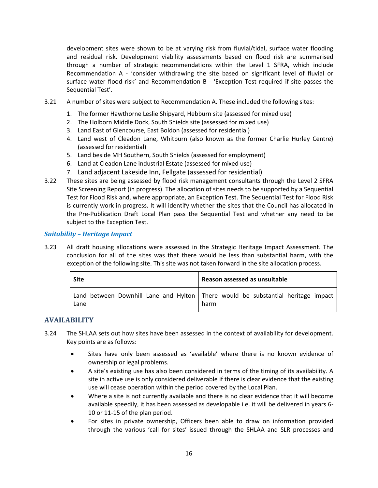development sites were shown to be at varying risk from fluvial/tidal, surface water flooding and residual risk. Development viability assessments based on flood risk are summarised through a number of strategic recommendations within the Level 1 SFRA, which include Recommendation A - 'consider withdrawing the site based on significant level of fluvial or surface water flood risk' and Recommendation B - 'Exception Test required if site passes the Sequential Test'.

- 3.21 A number of sites were subject to Recommendation A. These included the following sites:
	- 1. The former Hawthorne Leslie Shipyard, Hebburn site (assessed for mixed use)
	- 2. The Holborn Middle Dock, South Shields site (assessed for mixed use)
	- 3. Land East of Glencourse, East Boldon (assessed for residential)
	- 4. Land west of Cleadon Lane, Whitburn (also known as the former Charlie Hurley Centre) (assessed for residential)
	- 5. Land beside MH Southern, South Shields (assessed for employment)
	- 6. Land at Cleadon Lane industrial Estate (assessed for mixed use)
	- 7. Land adjacent Lakeside Inn, Fellgate (assessed for residential)
- 3.22 These sites are being assessed by flood risk management consultants through the Level 2 SFRA Site Screening Report (in progress). The allocation of sites needs to be supported by a Sequential Test for Flood Risk and, where appropriate, an Exception Test. The Sequential Test for Flood Risk is currently work in progress. It will identify whether the sites that the Council has allocated in the Pre-Publication Draft Local Plan pass the Sequential Test and whether any need to be subject to the Exception Test.

## *Suitability – Heritage Impact*

3.23 All draft housing allocations were assessed in the Strategic Heritage Impact Assessment. The conclusion for all of the sites was that there would be less than substantial harm, with the exception of the following site. This site was not taken forward in the site allocation process.

| <b>Site</b> | Reason assessed as unsuitable                                                            |  |  |  |
|-------------|------------------------------------------------------------------------------------------|--|--|--|
| Lane        | Land between Downhill Lane and Hylton There would be substantial heritage impact<br>harm |  |  |  |

# **AVAILABILITY**

- 3.24 The SHLAA sets out how sites have been assessed in the context of availability for development. Key points are as follows:
	- Sites have only been assessed as 'available' where there is no known evidence of ownership or legal problems.
	- A site's existing use has also been considered in terms of the timing of its availability. A site in active use is only considered deliverable if there is clear evidence that the existing use will cease operation within the period covered by the Local Plan.
	- Where a site is not currently available and there is no clear evidence that it will become available speedily, it has been assessed as developable i.e. it will be delivered in years 6- 10 or 11-15 of the plan period.
	- For sites in private ownership, Officers been able to draw on information provided through the various 'call for sites' issued through the SHLAA and SLR processes and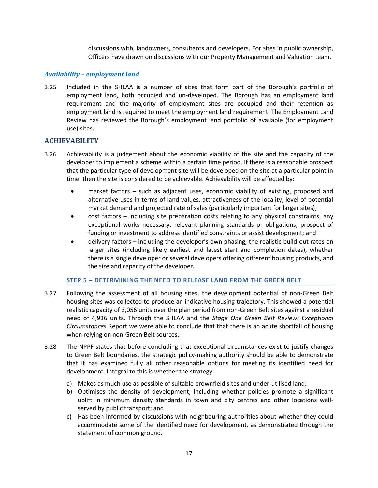discussions with, landowners, consultants and developers. For sites in public ownership, Officers have drawn on discussions with our Property Management and Valuation team.

## *Availability – employment land*

3.25 Included in the SHLAA is a number of sites that form part of the Borough's portfolio of employment land, both occupied and un-developed. The Borough has an employment land requirement and the majority of employment sites are occupied and their retention as employment land is required to meet the employment land requirement. The Employment Land Review has reviewed the Borough's employment land portfolio of available (for employment use) sites.

# **ACHIEVABILITY**

- 3.26 Achievability is a judgement about the economic viability of the site and the capacity of the developer to implement a scheme within a certain time period. If there is a reasonable prospect that the particular type of development site will be developed on the site at a particular point in time, then the site is considered to be achievable. Achievability will be affected by:
	- market factors such as adjacent uses, economic viability of existing, proposed and alternative uses in terms of land values, attractiveness of the locality, level of potential market demand and projected rate of sales (particularly important for larger sites);
	- cost factors including site preparation costs relating to any physical constraints, any exceptional works necessary, relevant planning standards or obligations, prospect of funding or investment to address identified constraints or assist development; and
	- delivery factors including the developer's own phasing, the realistic build-out rates on larger sites (including likely earliest and latest start and completion dates), whether there is a single developer or several developers offering different housing products, and the size and capacity of the developer.

#### **STEP 5 – DETERMINING THE NEED TO RELEASE LAND FROM THE GREEN BELT**

- 3.27 Following the assessment of all housing sites, the development potential of non-Green Belt housing sites was collected to produce an indicative housing trajectory. This showed a potential realistic capacity of 3,056 units over the plan period from non-Green Belt sites against a residual need of 4,936 units. Through the SHLAA and the *Stage One Green Belt Review: Exceptional Circumstances* Report we were able to conclude that that there is an acute shortfall of housing when relying on non-Green Belt sources.
- 3.28 The NPPF states that before concluding that exceptional circumstances exist to justify changes to Green Belt boundaries, the strategic policy-making authority should be able to demonstrate that it has examined fully all other reasonable options for meeting its identified need for development. Integral to this is whether the strategy:
	- a) Makes as much use as possible of suitable brownfield sites and under-utilised land;
	- b) Optimises the density of development, including whether policies promote a significant uplift in minimum density standards in town and city centres and other locations wellserved by public transport; and
	- c) Has been informed by discussions with neighbouring authorities about whether they could accommodate some of the identified need for development, as demonstrated through the statement of common ground.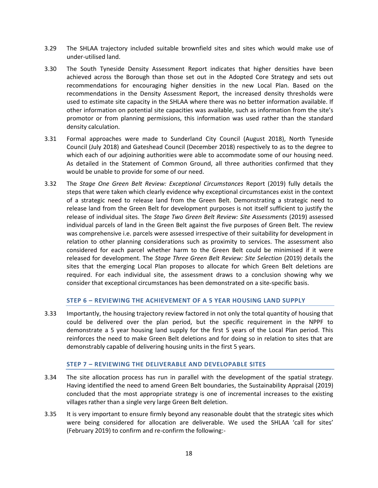- 3.29 The SHLAA trajectory included suitable brownfield sites and sites which would make use of under-utilised land.
- 3.30 The South Tyneside Density Assessment Report indicates that higher densities have been achieved across the Borough than those set out in the Adopted Core Strategy and sets out recommendations for encouraging higher densities in the new Local Plan. Based on the recommendations in the Density Assessment Report, the increased density thresholds were used to estimate site capacity in the SHLAA where there was no better information available. If other information on potential site capacities was available, such as information from the site's promotor or from planning permissions, this information was used rather than the standard density calculation.
- 3.31 Formal approaches were made to Sunderland City Council (August 2018), North Tyneside Council (July 2018) and Gateshead Council (December 2018) respectively to as to the degree to which each of our adjoining authorities were able to accommodate some of our housing need. As detailed in the Statement of Common Ground, all three authorities confirmed that they would be unable to provide for some of our need.
- 3.32 The *Stage One Green Belt Review: Exceptional Circumstances* Report (2019) fully details the steps that were taken which clearly evidence why exceptional circumstances exist in the context of a strategic need to release land from the Green Belt. Demonstrating a strategic need to release land from the Green Belt for development purposes is not itself sufficient to justify the release of individual sites. The *Stage Two Green Belt Review: Site Assessments* (2019) assessed individual parcels of land in the Green Belt against the five purposes of Green Belt. The review was comprehensive i.e. parcels were assessed irrespective of their suitability for development in relation to other planning considerations such as proximity to services. The assessment also considered for each parcel whether harm to the Green Belt could be minimised if it were released for development. The *Stage Three Green Belt Review: Site Selection* (2019) details the sites that the emerging Local Plan proposes to allocate for which Green Belt deletions are required. For each individual site, the assessment draws to a conclusion showing why we consider that exceptional circumstances has been demonstrated on a site-specific basis.

#### **STEP 6 – REVIEWING THE ACHIEVEMENT OF A 5 YEAR HOUSING LAND SUPPLY**

3.33 Importantly, the housing trajectory review factored in not only the total quantity of housing that could be delivered over the plan period, but the specific requirement in the NPPF to demonstrate a 5 year housing land supply for the first 5 years of the Local Plan period. This reinforces the need to make Green Belt deletions and for doing so in relation to sites that are demonstrably capable of delivering housing units in the first 5 years.

#### **STEP 7 – REVIEWING THE DELIVERABLE AND DEVELOPABLE SITES**

- 3.34 The site allocation process has run in parallel with the development of the spatial strategy. Having identified the need to amend Green Belt boundaries, the Sustainability Appraisal (2019) concluded that the most appropriate strategy is one of incremental increases to the existing villages rather than a single very large Green Belt deletion.
- 3.35 It is very important to ensure firmly beyond any reasonable doubt that the strategic sites which were being considered for allocation are deliverable. We used the SHLAA 'call for sites' (February 2019) to confirm and re-confirm the following:-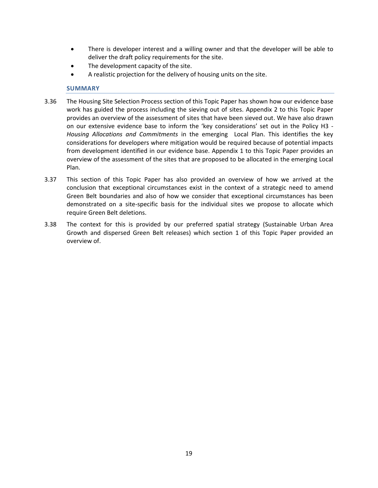- There is developer interest and a willing owner and that the developer will be able to deliver the draft policy requirements for the site.
- The development capacity of the site.
- A realistic projection for the delivery of housing units on the site.

#### **SUMMARY**

- 3.36 The Housing Site Selection Process section of this Topic Paper has shown how our evidence base work has guided the process including the sieving out of sites. Appendix 2 to this Topic Paper provides an overview of the assessment of sites that have been sieved out. We have also drawn on our extensive evidence base to inform the 'key considerations' set out in the Policy H3 - *Housing Allocations and Commitments* in the emerging Local Plan. This identifies the key considerations for developers where mitigation would be required because of potential impacts from development identified in our evidence base. Appendix 1 to this Topic Paper provides an overview of the assessment of the sites that are proposed to be allocated in the emerging Local Plan.
- 3.37 This section of this Topic Paper has also provided an overview of how we arrived at the conclusion that exceptional circumstances exist in the context of a strategic need to amend Green Belt boundaries and also of how we consider that exceptional circumstances has been demonstrated on a site-specific basis for the individual sites we propose to allocate which require Green Belt deletions.
- 3.38 The context for this is provided by our preferred spatial strategy (Sustainable Urban Area Growth and dispersed Green Belt releases) which section 1 of this Topic Paper provided an overview of.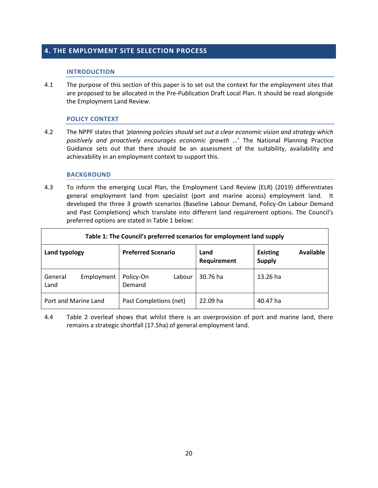# **4. THE EMPLOYMENT SITE SELECTION PROCESS**

#### **INTRODUCTION**

4.1 The purpose of this section of this paper is to set out the context for the employment sites that are proposed to be allocated in the Pre-Publication Draft Local Plan. It should be read alongside the Employment Land Review.

#### **POLICY CONTEXT**

4.2 The NPPF states that *'planning policies should set out a clear economic vision and strategy which positively and proactively encourages economic growth …*' The National Planning Practice Guidance sets out that there should be an assessment of the suitability, availability and achievability in an employment context to support this.

#### **BACKGROUND**

4.3 To inform the emerging Local Plan, the Employment Land Review (ELR) (2019) differentiates general employment land from specialist (port and marine access) employment land. It developed the three 3 growth scenarios (Baseline Labour Demand, Policy-On Labour Demand and Past Completions) which translate into different land requirement options. The Council's preferred options are stated in Table 1 below:

| Table 1: The Council's preferred scenarios for employment land supply |                               |                     |                                               |  |  |
|-----------------------------------------------------------------------|-------------------------------|---------------------|-----------------------------------------------|--|--|
| Land typology                                                         | <b>Preferred Scenario</b>     | Land<br>Requirement | <b>Existing</b><br>Available<br><b>Supply</b> |  |  |
| General<br>Employment<br>Land                                         | Policy-On<br>Labour<br>Demand | 30.76 ha            | 13.26 ha                                      |  |  |
| Port and Marine Land                                                  | Past Completions (net)        | 22.09 ha            | 40.47 ha                                      |  |  |

4.4 Table 2 overleaf shows that whilst there is an overprovision of port and marine land, there remains a strategic shortfall (17.5ha) of general employment land.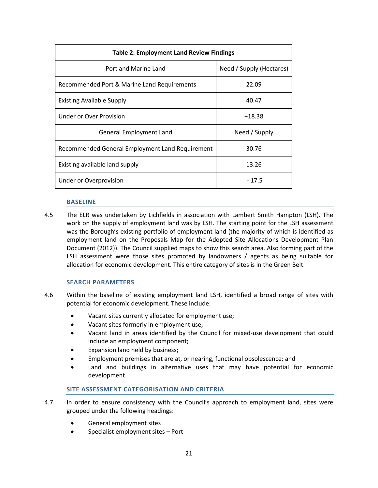| <b>Table 2: Employment Land Review Findings</b> |                          |  |  |
|-------------------------------------------------|--------------------------|--|--|
| Port and Marine Land                            | Need / Supply (Hectares) |  |  |
| Recommended Port & Marine Land Requirements     | 22.09                    |  |  |
| <b>Existing Available Supply</b>                | 40.47                    |  |  |
| Under or Over Provision                         | +18.38                   |  |  |
| <b>General Employment Land</b>                  | Need / Supply            |  |  |
| Recommended General Employment Land Requirement | 30.76                    |  |  |
| Existing available land supply                  | 13.26                    |  |  |
| Under or Overprovision                          | $-17.5$                  |  |  |

#### **BASELINE**

4.5 The ELR was undertaken by Lichfields in association with Lambert Smith Hampton (LSH). The work on the supply of employment land was by LSH. The starting point for the LSH assessment was the Borough's existing portfolio of employment land (the majority of which is identified as employment land on the Proposals Map for the Adopted Site Allocations Development Plan Document (2012)). The Council supplied maps to show this search area. Also forming part of the LSH assessment were those sites promoted by landowners / agents as being suitable for allocation for economic development. This entire category of sites is in the Green Belt.

#### **SEARCH PARAMETERS**

- 4.6 Within the baseline of existing employment land LSH, identified a broad range of sites with potential for economic development. These include:
	- Vacant sites currently allocated for employment use;
	- Vacant sites formerly in employment use;
	- Vacant land in areas identified by the Council for mixed-use development that could include an employment component;
	- Expansion land held by business;
	- Employment premises that are at, or nearing, functional obsolescence; and
	- Land and buildings in alternative uses that may have potential for economic development.

#### **SITE ASSESSMENT CATEGORISATION AND CRITERIA**

- 4.7 In order to ensure consistency with the Council's approach to employment land, sites were grouped under the following headings:
	- General employment sites
	- Specialist employment sites Port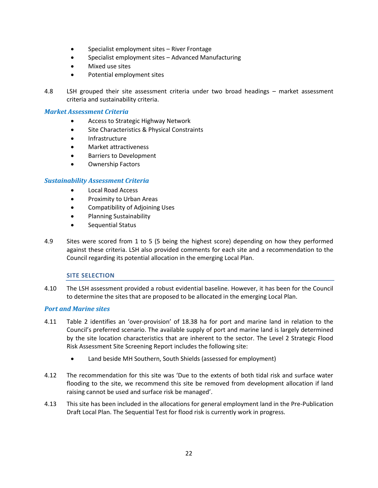- Specialist employment sites River Frontage
- Specialist employment sites Advanced Manufacturing
- Mixed use sites
- Potential employment sites
- 4.8 LSH grouped their site assessment criteria under two broad headings market assessment criteria and sustainability criteria.

#### *Market Assessment Criteria*

- Access to Strategic Highway Network
- Site Characteristics & Physical Constraints
- Infrastructure
- Market attractiveness
- Barriers to Development
- Ownership Factors

## *Sustainability Assessment Criteria*

- Local Road Access
- **•** Proximity to Urban Areas
- Compatibility of Adjoining Uses
- Planning Sustainability
- Sequential Status
- 4.9 Sites were scored from 1 to 5 (5 being the highest score) depending on how they performed against these criteria. LSH also provided comments for each site and a recommendation to the Council regarding its potential allocation in the emerging Local Plan.

#### **SITE SELECTION**

4.10 The LSH assessment provided a robust evidential baseline. However, it has been for the Council to determine the sites that are proposed to be allocated in the emerging Local Plan.

#### *Port and Marine sites*

- 4.11 Table 2 identifies an 'over-provision' of 18.38 ha for port and marine land in relation to the Council's preferred scenario. The available supply of port and marine land is largely determined by the site location characteristics that are inherent to the sector. The Level 2 Strategic Flood Risk Assessment Site Screening Report includes the following site:
	- Land beside MH Southern, South Shields (assessed for employment)
- 4.12 The recommendation for this site was 'Due to the extents of both tidal risk and surface water flooding to the site, we recommend this site be removed from development allocation if land raising cannot be used and surface risk be managed'.
- 4.13 This site has been included in the allocations for general employment land in the Pre-Publication Draft Local Plan. The Sequential Test for flood risk is currently work in progress.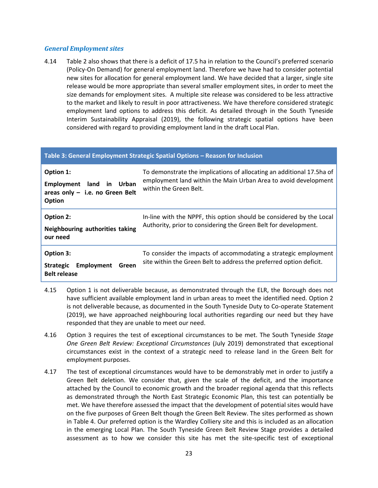#### *General Employment sites*

4.14 Table 2 also shows that there is a deficit of 17.5 ha in relation to the Council's preferred scenario (Policy-On Demand) for general employment land. Therefore we have had to consider potential new sites for allocation for general employment land. We have decided that a larger, single site release would be more appropriate than several smaller employment sites, in order to meet the size demands for employment sites. A multiple site release was considered to be less attractive to the market and likely to result in poor attractiveness. We have therefore considered strategic employment land options to address this deficit. As detailed through in the South Tyneside Interim Sustainability Appraisal (2019), the following strategic spatial options have been considered with regard to providing employment land in the draft Local Plan.

#### **Table 3: General Employment Strategic Spatial Options – Reason for Inclusion**

| Option 1:<br>land in<br>Employment<br>Urban<br>areas only $-$ i.e. no Green Belt<br>Option | To demonstrate the implications of allocating an additional 17.5ha of<br>employment land within the Main Urban Area to avoid development<br>within the Green Belt. |
|--------------------------------------------------------------------------------------------|--------------------------------------------------------------------------------------------------------------------------------------------------------------------|
| Option 2:<br>Neighbouring authorities taking<br>our need                                   | In-line with the NPPF, this option should be considered by the Local<br>Authority, prior to considering the Green Belt for development.                            |
| Option 3:<br>Employment<br><b>Strategic</b><br>Green<br><b>Belt release</b>                | To consider the impacts of accommodating a strategic employment<br>site within the Green Belt to address the preferred option deficit.                             |

- 4.15 Option 1 is not deliverable because, as demonstrated through the ELR, the Borough does not have sufficient available employment land in urban areas to meet the identified need. Option 2 is not deliverable because, as documented in the South Tyneside Duty to Co-operate Statement (2019), we have approached neighbouring local authorities regarding our need but they have responded that they are unable to meet our need.
- 4.16 Option 3 requires the test of exceptional circumstances to be met. The South Tyneside *Stage One Green Belt Review: Exceptional Circumstances* (July 2019) demonstrated that exceptional circumstances exist in the context of a strategic need to release land in the Green Belt for employment purposes.
- 4.17 The test of exceptional circumstances would have to be demonstrably met in order to justify a Green Belt deletion. We consider that, given the scale of the deficit, and the importance attached by the Council to economic growth and the broader regional agenda that this reflects as demonstrated through the North East Strategic Economic Plan, this test can potentially be met. We have therefore assessed the impact that the development of potential sites would have on the five purposes of Green Belt though the Green Belt Review. The sites performed as shown in Table 4. Our preferred option is the Wardley Colliery site and this is included as an allocation in the emerging Local Plan. The South Tyneside Green Belt Review Stage provides a detailed assessment as to how we consider this site has met the site-specific test of exceptional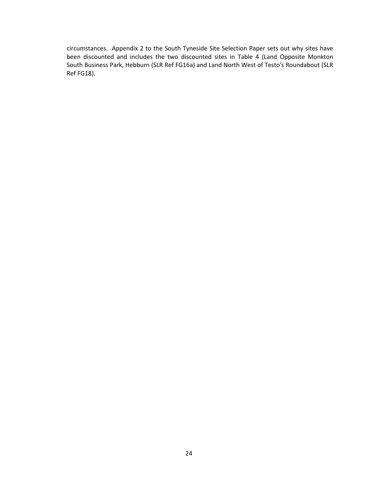circumstances. Appendix 2 to the South Tyneside Site Selection Paper sets out why sites have been discounted and includes the two discounted sites in Table 4 (Land Opposite Monkton South Business Park, Hebburn (SLR Ref FG16a) and Land North West of Testo's Roundabout (SLR Ref FG18).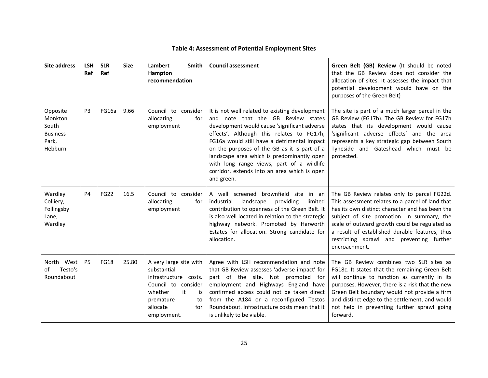| <b>Site address</b>                                                 | <b>LSH</b><br>Ref | <b>SLR</b><br>Ref | <b>Size</b> | Lambert<br>Smith<br>Hampton<br>recommendation                                                                                                                     | <b>Council assessment</b>                                                                                                                                                                                                                                                                                                                                                                                                                 | Green Belt (GB) Review (It should be noted<br>that the GB Review does not consider the<br>allocation of sites. It assesses the impact that<br>potential development would have on the<br>purposes of the Green Belt)                                                                                                                                              |
|---------------------------------------------------------------------|-------------------|-------------------|-------------|-------------------------------------------------------------------------------------------------------------------------------------------------------------------|-------------------------------------------------------------------------------------------------------------------------------------------------------------------------------------------------------------------------------------------------------------------------------------------------------------------------------------------------------------------------------------------------------------------------------------------|-------------------------------------------------------------------------------------------------------------------------------------------------------------------------------------------------------------------------------------------------------------------------------------------------------------------------------------------------------------------|
| Opposite<br>Monkton<br>South<br><b>Business</b><br>Park,<br>Hebburn | P <sub>3</sub>    | FG16a             | 9.66        | Council to consider<br>allocating<br>for<br>employment                                                                                                            | It is not well related to existing development<br>and note that the GB Review states<br>development would cause 'significant adverse<br>effects'. Although this relates to FG17h,<br>FG16a would still have a detrimental impact<br>on the purposes of the GB as it is part of a<br>landscape area which is predominantly open<br>with long range views, part of a wildlife<br>corridor, extends into an area which is open<br>and green. | The site is part of a much larger parcel in the<br>GB Review (FG17h). The GB Review for FG17h<br>states that its development would cause<br>'significant adverse effects' and the area<br>represents a key strategic gap between South<br>Tyneside and Gateshead which must be<br>protected.                                                                      |
| Wardley<br>Colliery,<br>Follingsby<br>Lane,<br>Wardley              | P4                | <b>FG22</b>       | 16.5        | Council to consider<br>allocating<br>for<br>employment                                                                                                            | A well screened brownfield site in an<br>industrial<br>landscape<br>providing<br>limited<br>contribution to openness of the Green Belt. It<br>is also well located in relation to the strategic<br>highway network. Promoted by Harworth<br>Estates for allocation. Strong candidate for<br>allocation.                                                                                                                                   | The GB Review relates only to parcel FG22d.<br>This assessment relates to a parcel of land that<br>has its own distinct character and has been the<br>subject of site promotion. In summary, the<br>scale of outward growth could be regulated as<br>a result of established durable features, thus<br>restricting sprawl and preventing further<br>encroachment. |
| North West<br>Testo's<br>οf<br>Roundabout                           | <b>P5</b>         | <b>FG18</b>       | 25.80       | A very large site with<br>substantial<br>infrastructure costs.<br>Council to consider<br>whether<br>it<br>is<br>premature<br>to<br>allocate<br>for<br>employment. | Agree with LSH recommendation and note<br>that GB Review assesses 'adverse impact' for<br>part of the site. Not promoted for<br>employment and Highways England have<br>confirmed access could not be taken direct<br>from the A184 or a reconfigured Testos<br>Roundabout. Infrastructure costs mean that it<br>is unlikely to be viable.                                                                                                | The GB Review combines two SLR sites as<br>FG18c. It states that the remaining Green Belt<br>will continue to function as currently in its<br>purposes. However, there is a risk that the new<br>Green Belt boundary would not provide a firm<br>and distinct edge to the settlement, and would<br>not help in preventing further sprawl going<br>forward.        |

# **Table 4: Assessment of Potential Employment Sites**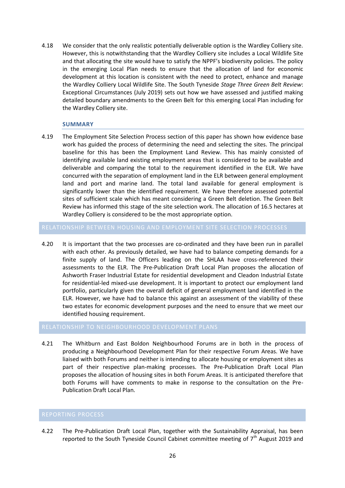4.18 We consider that the only realistic potentially deliverable option is the Wardley Colliery site. However, this is notwithstanding that the Wardley Colliery site includes a Local Wildlife Site and that allocating the site would have to satisfy the NPPF's biodiversity policies. The policy in the emerging Local Plan needs to ensure that the allocation of land for economic development at this location is consistent with the need to protect, enhance and manage the Wardley Colliery Local Wildlife Site. The South Tyneside *Stage Three Green Belt Review*: Exceptional Circumstances (July 2019) sets out how we have assessed and justified making detailed boundary amendments to the Green Belt for this emerging Local Plan including for the Wardley Colliery site.

#### **SUMMARY**

4.19 The Employment Site Selection Process section of this paper has shown how evidence base work has guided the process of determining the need and selecting the sites. The principal baseline for this has been the Employment Land Review. This has mainly consisted of identifying available land existing employment areas that is considered to be available and deliverable and comparing the total to the requirement identified in the ELR. We have concurred with the separation of employment land in the ELR between general employment land and port and marine land. The total land available for general employment is significantly lower than the identified requirement. We have therefore assessed potential sites of sufficient scale which has meant considering a Green Belt deletion. The Green Belt Review has informed this stage of the site selection work. The allocation of 16.5 hectares at Wardley Colliery is considered to be the most appropriate option.

4.20 It is important that the two processes are co-ordinated and they have been run in parallel with each other. As previously detailed, we have had to balance competing demands for a finite supply of land. The Officers leading on the SHLAA have cross-referenced their assessments to the ELR. The Pre-Publication Draft Local Plan proposes the allocation of Ashworth Fraser Industrial Estate for residential development and Cleadon Industrial Estate for residential-led mixed-use development. It is important to protect our employment land portfolio, particularly given the overall deficit of general employment land identified in the ELR. However, we have had to balance this against an assessment of the viability of these two estates for economic development purposes and the need to ensure that we meet our identified housing requirement.

#### RELATIONSHIP TO NEIGHBOURHOOD DEVELOPMENT PLANS

4.21 The Whitburn and East Boldon Neighbourhood Forums are in both in the process of producing a Neighbourhood Development Plan for their respective Forum Areas. We have liaised with both Forums and neither is intending to allocate housing or employment sites as part of their respective plan-making processes. The Pre-Publication Draft Local Plan proposes the allocation of housing sites in both Forum Areas. It is anticipated therefore that both Forums will have comments to make in response to the consultation on the Pre-Publication Draft Local Plan.

4.22 The Pre-Publication Draft Local Plan, together with the Sustainability Appraisal, has been reported to the South Tyneside Council Cabinet committee meeting of  $7<sup>th</sup>$  August 2019 and